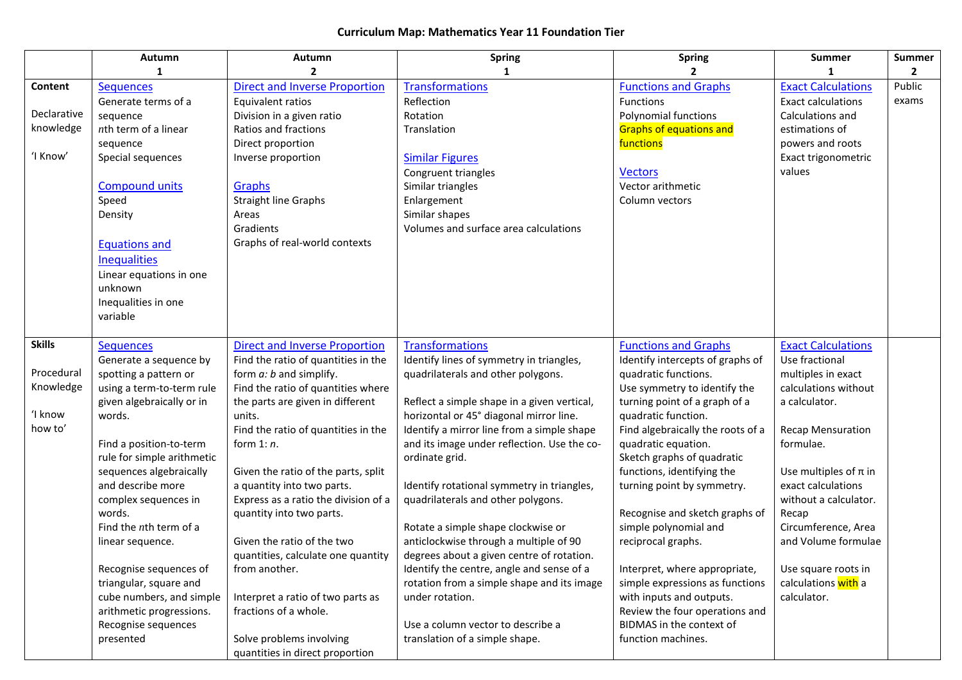## **Curriculum Map: Mathematics Year 11 Foundation Tier**

|               | Autumn                              | Autumn                               | <b>Spring</b>                               | <b>Spring</b>                               | <b>Summer</b>                | <b>Summer</b> |
|---------------|-------------------------------------|--------------------------------------|---------------------------------------------|---------------------------------------------|------------------------------|---------------|
|               |                                     | 2                                    | 1                                           |                                             |                              | 2             |
| Content       | <b>Sequences</b>                    | <b>Direct and Inverse Proportion</b> | <b>Transformations</b>                      | <b>Functions and Graphs</b>                 | <b>Exact Calculations</b>    | Public        |
|               | Generate terms of a                 | Equivalent ratios                    | Reflection                                  | Functions                                   | <b>Exact calculations</b>    | exams         |
| Declarative   | sequence                            | Division in a given ratio            | Rotation                                    | Polynomial functions                        | Calculations and             |               |
| knowledge     | $n$ th term of a linear             | Ratios and fractions                 | Translation                                 | <b>Graphs of equations and</b>              | estimations of               |               |
|               | sequence                            | Direct proportion                    |                                             | functions                                   | powers and roots             |               |
| 'I Know'      | Special sequences                   | Inverse proportion                   | <b>Similar Figures</b>                      |                                             | Exact trigonometric          |               |
|               |                                     |                                      | Congruent triangles                         | <b>Vectors</b>                              | values                       |               |
|               | <b>Compound units</b>               | Graphs                               | Similar triangles                           | Vector arithmetic                           |                              |               |
|               | Speed                               | <b>Straight line Graphs</b>          | Enlargement                                 | Column vectors                              |                              |               |
|               | Density                             | Areas                                | Similar shapes                              |                                             |                              |               |
|               |                                     | Gradients                            | Volumes and surface area calculations       |                                             |                              |               |
|               | <b>Equations and</b>                | Graphs of real-world contexts        |                                             |                                             |                              |               |
|               | <b>Inequalities</b>                 |                                      |                                             |                                             |                              |               |
|               | Linear equations in one             |                                      |                                             |                                             |                              |               |
|               | unknown                             |                                      |                                             |                                             |                              |               |
|               | Inequalities in one                 |                                      |                                             |                                             |                              |               |
|               | variable                            |                                      |                                             |                                             |                              |               |
|               |                                     |                                      |                                             |                                             |                              |               |
| <b>Skills</b> | <b>Sequences</b>                    | <b>Direct and Inverse Proportion</b> | <b>Transformations</b>                      | <b>Functions and Graphs</b>                 | <b>Exact Calculations</b>    |               |
|               | Generate a sequence by              | Find the ratio of quantities in the  | Identify lines of symmetry in triangles,    | Identify intercepts of graphs of            | Use fractional               |               |
| Procedural    | spotting a pattern or               | form a: b and simplify.              | quadrilaterals and other polygons.          | quadratic functions.                        | multiples in exact           |               |
| Knowledge     | using a term-to-term rule           | Find the ratio of quantities where   |                                             | Use symmetry to identify the                | calculations without         |               |
|               | given algebraically or in           | the parts are given in different     | Reflect a simple shape in a given vertical, | turning point of a graph of a               | a calculator.                |               |
| 'I know       | words.                              | units.                               | horizontal or 45° diagonal mirror line.     | quadratic function.                         |                              |               |
| how to'       |                                     | Find the ratio of quantities in the  | Identify a mirror line from a simple shape  | Find algebraically the roots of a           | <b>Recap Mensuration</b>     |               |
|               | Find a position-to-term             | form $1: n$ .                        | and its image under reflection. Use the co- | quadratic equation.                         | formulae.                    |               |
|               | rule for simple arithmetic          |                                      | ordinate grid.                              | Sketch graphs of quadratic                  |                              |               |
|               | sequences algebraically             | Given the ratio of the parts, split  |                                             | functions, identifying the                  | Use multiples of $\pi$ in    |               |
|               | and describe more                   | a quantity into two parts.           | Identify rotational symmetry in triangles,  | turning point by symmetry.                  | exact calculations           |               |
|               | complex sequences in                | Express as a ratio the division of a | quadrilaterals and other polygons.          |                                             | without a calculator.        |               |
|               | words.<br>Find the $n$ th term of a | quantity into two parts.             | Rotate a simple shape clockwise or          | Recognise and sketch graphs of              | Recap<br>Circumference, Area |               |
|               |                                     | Given the ratio of the two           | anticlockwise through a multiple of 90      | simple polynomial and<br>reciprocal graphs. | and Volume formulae          |               |
|               | linear sequence.                    | quantities, calculate one quantity   | degrees about a given centre of rotation.   |                                             |                              |               |
|               | Recognise sequences of              | from another.                        | Identify the centre, angle and sense of a   | Interpret, where appropriate,               | Use square roots in          |               |
|               | triangular, square and              |                                      | rotation from a simple shape and its image  | simple expressions as functions             | calculations with a          |               |
|               | cube numbers, and simple            | Interpret a ratio of two parts as    | under rotation.                             | with inputs and outputs.                    | calculator.                  |               |
|               | arithmetic progressions.            | fractions of a whole.                |                                             | Review the four operations and              |                              |               |
|               | Recognise sequences                 |                                      | Use a column vector to describe a           | BIDMAS in the context of                    |                              |               |
|               | presented                           | Solve problems involving             | translation of a simple shape.              | function machines.                          |                              |               |
|               |                                     | quantities in direct proportion      |                                             |                                             |                              |               |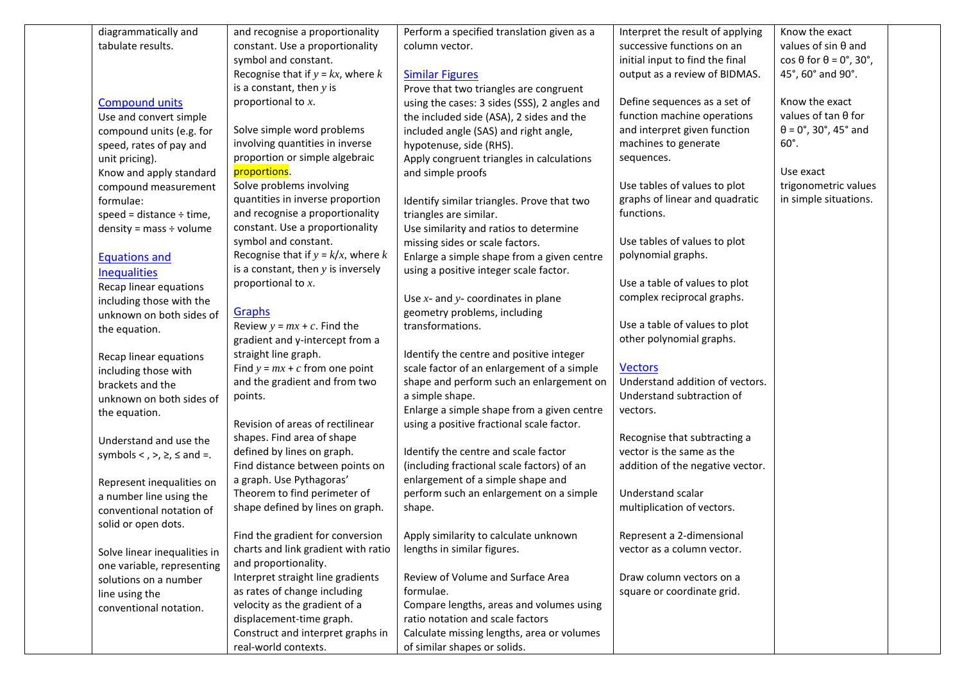| diagrammatically and                  | and recognise a proportionality                                  | Perform a specified translation given as a   | Interpret the result of applying                          | Know the exact                              |  |
|---------------------------------------|------------------------------------------------------------------|----------------------------------------------|-----------------------------------------------------------|---------------------------------------------|--|
| tabulate results.                     | constant. Use a proportionality                                  | column vector.                               | successive functions on an                                | values of $sin \theta$ and                  |  |
|                                       | symbol and constant.                                             |                                              | initial input to find the final                           | $\cos \theta$ for $\theta = 0^\circ$ , 30°, |  |
|                                       | Recognise that if $y = kx$ , where k                             | <b>Similar Figures</b>                       | output as a review of BIDMAS.                             | 45°, 60° and 90°.                           |  |
|                                       | is a constant, then $y$ is                                       | Prove that two triangles are congruent       |                                                           |                                             |  |
| <b>Compound units</b>                 | proportional to $x$ .                                            | using the cases: 3 sides (SSS), 2 angles and | Define sequences as a set of                              | Know the exact                              |  |
| Use and convert simple                |                                                                  | the included side (ASA), 2 sides and the     | function machine operations                               | values of tan $\theta$ for                  |  |
| compound units (e.g. for              | Solve simple word problems                                       | included angle (SAS) and right angle,        | and interpret given function                              | $\theta$ = 0°, 30°, 45° and                 |  |
| speed, rates of pay and               | involving quantities in inverse                                  | hypotenuse, side (RHS).                      | machines to generate                                      | $60^\circ$ .                                |  |
| unit pricing).                        | proportion or simple algebraic                                   | Apply congruent triangles in calculations    | sequences.                                                |                                             |  |
| Know and apply standard               | proportions.                                                     | and simple proofs                            |                                                           | Use exact                                   |  |
| compound measurement                  | Solve problems involving                                         |                                              | Use tables of values to plot                              | trigonometric values                        |  |
| formulae:                             | quantities in inverse proportion                                 | Identify similar triangles. Prove that two   | graphs of linear and quadratic                            | in simple situations.                       |  |
| speed = distance $\div$ time,         | and recognise a proportionality                                  | triangles are similar.                       | functions.                                                |                                             |  |
| density = mass $\div$ volume          | constant. Use a proportionality                                  | Use similarity and ratios to determine       |                                                           |                                             |  |
|                                       | symbol and constant.                                             | missing sides or scale factors.              | Use tables of values to plot                              |                                             |  |
| <b>Equations and</b>                  | Recognise that if $y = k/x$ , where k                            | Enlarge a simple shape from a given centre   | polynomial graphs.                                        |                                             |  |
|                                       | is a constant, then $y$ is inversely                             | using a positive integer scale factor.       |                                                           |                                             |  |
| <b>Inequalities</b>                   | proportional to $x$ .                                            |                                              | Use a table of values to plot                             |                                             |  |
| Recap linear equations                |                                                                  | Use $x$ - and $y$ - coordinates in plane     | complex reciprocal graphs.                                |                                             |  |
| including those with the              | <b>Graphs</b>                                                    | geometry problems, including                 |                                                           |                                             |  |
| unknown on both sides of              | Review $y = mx + c$ . Find the                                   | transformations.                             | Use a table of values to plot                             |                                             |  |
| the equation.                         | gradient and y-intercept from a                                  |                                              | other polynomial graphs.                                  |                                             |  |
|                                       |                                                                  |                                              |                                                           |                                             |  |
| Recap linear equations                | straight line graph.                                             | Identify the centre and positive integer     | <b>Vectors</b>                                            |                                             |  |
| including those with                  | Find $y = mx + c$ from one point                                 | scale factor of an enlargement of a simple   |                                                           |                                             |  |
| brackets and the                      | and the gradient and from two                                    | shape and perform such an enlargement on     | Understand addition of vectors.                           |                                             |  |
| unknown on both sides of              | points.                                                          | a simple shape.                              | Understand subtraction of                                 |                                             |  |
| the equation.                         |                                                                  | Enlarge a simple shape from a given centre   | vectors.                                                  |                                             |  |
|                                       | Revision of areas of rectilinear                                 | using a positive fractional scale factor.    |                                                           |                                             |  |
| Understand and use the                | shapes. Find area of shape                                       |                                              | Recognise that subtracting a<br>vector is the same as the |                                             |  |
| symbols < , >, $\geq$ , $\leq$ and =. | defined by lines on graph.<br>Find distance between points on    | Identify the centre and scale factor         |                                                           |                                             |  |
|                                       |                                                                  | (including fractional scale factors) of an   | addition of the negative vector.                          |                                             |  |
| Represent inequalities on             | a graph. Use Pythagoras'                                         | enlargement of a simple shape and            | Understand scalar                                         |                                             |  |
| a number line using the               | Theorem to find perimeter of<br>shape defined by lines on graph. | perform such an enlargement on a simple      |                                                           |                                             |  |
| conventional notation of              |                                                                  | shape.                                       | multiplication of vectors.                                |                                             |  |
| solid or open dots.                   |                                                                  |                                              |                                                           |                                             |  |
|                                       | Find the gradient for conversion                                 | Apply similarity to calculate unknown        | Represent a 2-dimensional                                 |                                             |  |
| Solve linear inequalities in          | charts and link gradient with ratio                              | lengths in similar figures.                  | vector as a column vector.                                |                                             |  |
| one variable, representing            | and proportionality.                                             |                                              |                                                           |                                             |  |
| solutions on a number                 | Interpret straight line gradients                                | Review of Volume and Surface Area            | Draw column vectors on a                                  |                                             |  |
| line using the                        | as rates of change including                                     | formulae.                                    | square or coordinate grid.                                |                                             |  |
| conventional notation.                | velocity as the gradient of a                                    | Compare lengths, areas and volumes using     |                                                           |                                             |  |
|                                       | displacement-time graph.                                         | ratio notation and scale factors             |                                                           |                                             |  |
|                                       | Construct and interpret graphs in                                | Calculate missing lengths, area or volumes   |                                                           |                                             |  |
|                                       | real-world contexts.                                             | of similar shapes or solids.                 |                                                           |                                             |  |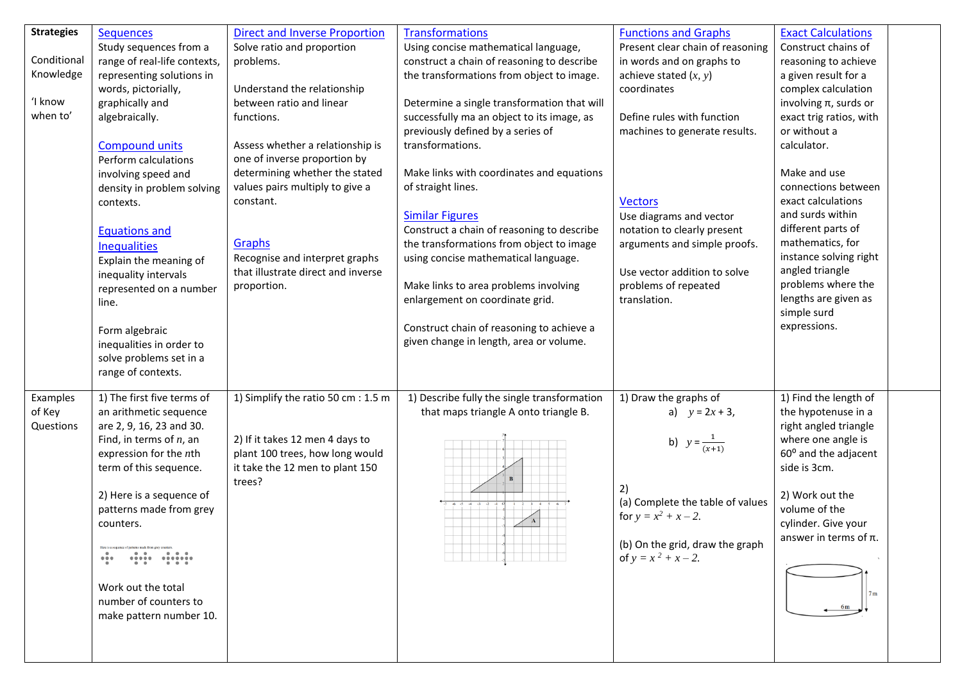| <b>Strategies</b> | <b>Sequences</b>             | <b>Direct and Inverse Proportion</b> | <b>Transformations</b>                      | <b>Functions and Graphs</b>      | <b>Exact Calculations</b>  |  |
|-------------------|------------------------------|--------------------------------------|---------------------------------------------|----------------------------------|----------------------------|--|
|                   |                              |                                      |                                             | Present clear chain of reasoning | Construct chains of        |  |
| Conditional       | Study sequences from a       | Solve ratio and proportion           | Using concise mathematical language,        |                                  |                            |  |
|                   | range of real-life contexts, | problems.                            | construct a chain of reasoning to describe  | in words and on graphs to        | reasoning to achieve       |  |
| Knowledge         | representing solutions in    |                                      | the transformations from object to image.   | achieve stated $(x, y)$          | a given result for a       |  |
|                   | words, pictorially,          | Understand the relationship          |                                             | coordinates                      | complex calculation        |  |
| 'I know           | graphically and              | between ratio and linear             | Determine a single transformation that will |                                  | involving $\pi$ , surds or |  |
| when to'          | algebraically.               | functions.                           | successfully ma an object to its image, as  | Define rules with function       | exact trig ratios, with    |  |
|                   |                              |                                      | previously defined by a series of           | machines to generate results.    | or without a               |  |
|                   | <b>Compound units</b>        | Assess whether a relationship is     | transformations.                            |                                  | calculator.                |  |
|                   | Perform calculations         | one of inverse proportion by         |                                             |                                  |                            |  |
|                   | involving speed and          | determining whether the stated       | Make links with coordinates and equations   |                                  | Make and use               |  |
|                   | density in problem solving   | values pairs multiply to give a      | of straight lines.                          |                                  | connections between        |  |
|                   | contexts.                    | constant.                            |                                             | <b>Vectors</b>                   | exact calculations         |  |
|                   |                              |                                      | <b>Similar Figures</b>                      | Use diagrams and vector          | and surds within           |  |
|                   | <b>Equations and</b>         |                                      | Construct a chain of reasoning to describe  | notation to clearly present      | different parts of         |  |
|                   |                              | Graphs                               | the transformations from object to image    | arguments and simple proofs.     | mathematics, for           |  |
|                   | <b>Inequalities</b>          | Recognise and interpret graphs       | using concise mathematical language.        |                                  | instance solving right     |  |
|                   | Explain the meaning of       | that illustrate direct and inverse   |                                             | Use vector addition to solve     | angled triangle            |  |
|                   | inequality intervals         |                                      | Make links to area problems involving       | problems of repeated             | problems where the         |  |
|                   | represented on a number      | proportion.                          |                                             |                                  | lengths are given as       |  |
|                   | line.                        |                                      | enlargement on coordinate grid.             | translation.                     | simple surd                |  |
|                   |                              |                                      |                                             |                                  |                            |  |
|                   | Form algebraic               |                                      | Construct chain of reasoning to achieve a   |                                  | expressions.               |  |
|                   | inequalities in order to     |                                      | given change in length, area or volume.     |                                  |                            |  |
|                   | solve problems set in a      |                                      |                                             |                                  |                            |  |
|                   | range of contexts.           |                                      |                                             |                                  |                            |  |
|                   |                              |                                      |                                             |                                  |                            |  |
| Examples          | 1) The first five terms of   | 1) Simplify the ratio 50 cm : 1.5 m  | 1) Describe fully the single transformation | 1) Draw the graphs of            | 1) Find the length of      |  |
| of Key            | an arithmetic sequence       |                                      | that maps triangle A onto triangle B.       | a) $y = 2x + 3$ ,                | the hypotenuse in a        |  |
| Questions         | are 2, 9, 16, 23 and 30.     |                                      |                                             |                                  | right angled triangle      |  |
|                   | Find, in terms of $n$ , an   | 2) If it takes 12 men 4 days to      |                                             | b) $y = \frac{1}{(x+1)}$         | where one angle is         |  |
|                   | expression for the nth       | plant 100 trees, how long would      |                                             |                                  | 60° and the adjacent       |  |
|                   | term of this sequence.       | it take the 12 men to plant 150      |                                             |                                  | side is 3cm.               |  |
|                   |                              | trees?                               | $\mathbf{B}$                                |                                  |                            |  |
|                   | 2) Here is a sequence of     |                                      |                                             | 2)                               | 2) Work out the            |  |
|                   | patterns made from grey      |                                      |                                             | (a) Complete the table of values | volume of the              |  |
|                   | counters.                    |                                      |                                             | for $y = x^2 + x - 2$ .          | cylinder. Give your        |  |
|                   |                              |                                      |                                             |                                  | answer in terms of $\pi$ . |  |
|                   | Here is a                    |                                      |                                             | (b) On the grid, draw the graph  |                            |  |
|                   | 0.0.0                        |                                      |                                             | of $y = x^2 + x - 2$ .           |                            |  |
|                   |                              |                                      |                                             |                                  |                            |  |
|                   | Work out the total           |                                      |                                             |                                  | 7 <sub>m</sub>             |  |
|                   | number of counters to        |                                      |                                             |                                  | 6m                         |  |
|                   | make pattern number 10.      |                                      |                                             |                                  |                            |  |
|                   |                              |                                      |                                             |                                  |                            |  |
|                   |                              |                                      |                                             |                                  |                            |  |
|                   |                              |                                      |                                             |                                  |                            |  |